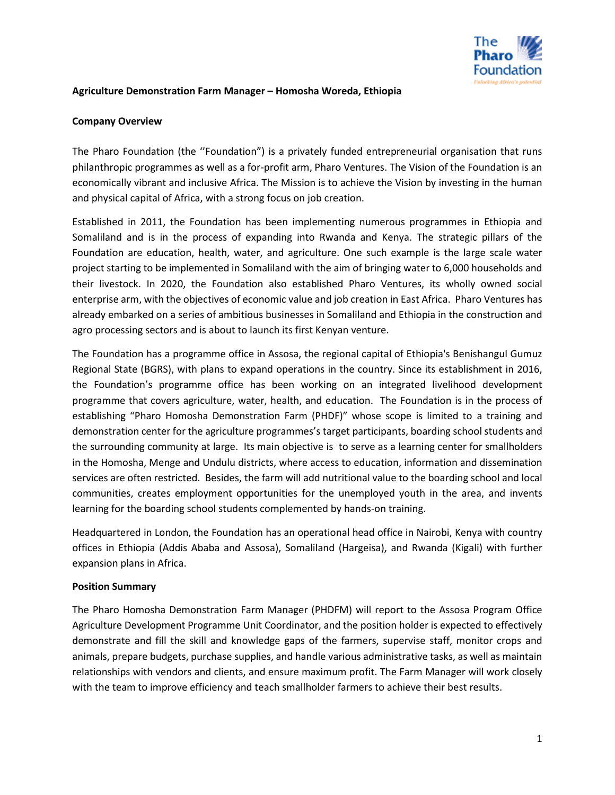

### **Agriculture Demonstration Farm Manager – Homosha Woreda, Ethiopia**

### **Company Overview**

The Pharo Foundation (the ''Foundation") is a privately funded entrepreneurial organisation that runs philanthropic programmes as well as a for-profit arm, Pharo Ventures. The Vision of the Foundation is an economically vibrant and inclusive Africa. The Mission is to achieve the Vision by investing in the human and physical capital of Africa, with a strong focus on job creation.

Established in 2011, the Foundation has been implementing numerous programmes in Ethiopia and Somaliland and is in the process of expanding into Rwanda and Kenya. The strategic pillars of the Foundation are education, health, water, and agriculture. One such example is the large scale water project starting to be implemented in Somaliland with the aim of bringing water to 6,000 households and their livestock. In 2020, the Foundation also established Pharo Ventures, its wholly owned social enterprise arm, with the objectives of economic value and job creation in East Africa. Pharo Ventures has already embarked on a series of ambitious businesses in Somaliland and Ethiopia in the construction and agro processing sectors and is about to launch its first Kenyan venture.

The Foundation has a programme office in Assosa, the regional capital of Ethiopia's Benishangul Gumuz Regional State (BGRS), with plans to expand operations in the country. Since its establishment in 2016, the Foundation's programme office has been working on an integrated livelihood development programme that covers agriculture, water, health, and education. The Foundation is in the process of establishing "Pharo Homosha Demonstration Farm (PHDF)" whose scope is limited to a training and demonstration center for the agriculture programmes's target participants, boarding school students and the surrounding community at large. Its main objective is to serve as a learning center for smallholders in the Homosha, Menge and Undulu districts, where access to education, information and dissemination services are often restricted. Besides, the farm will add nutritional value to the boarding school and local communities, creates employment opportunities for the unemployed youth in the area, and invents learning for the boarding school students complemented by hands-on training.

Headquartered in London, the Foundation has an operational head office in Nairobi, Kenya with country offices in Ethiopia (Addis Ababa and Assosa), Somaliland (Hargeisa), and Rwanda (Kigali) with further expansion plans in Africa.

# **Position Summary**

The Pharo Homosha Demonstration Farm Manager (PHDFM) will report to the Assosa Program Office Agriculture Development Programme Unit Coordinator, and the position holder is expected to effectively demonstrate and fill the skill and knowledge gaps of the farmers, supervise staff, monitor crops and animals, prepare budgets, purchase supplies, and handle various administrative tasks, as well as maintain relationships with vendors and clients, and ensure maximum profit. The Farm Manager will work closely with the team to improve efficiency and teach smallholder farmers to achieve their best results.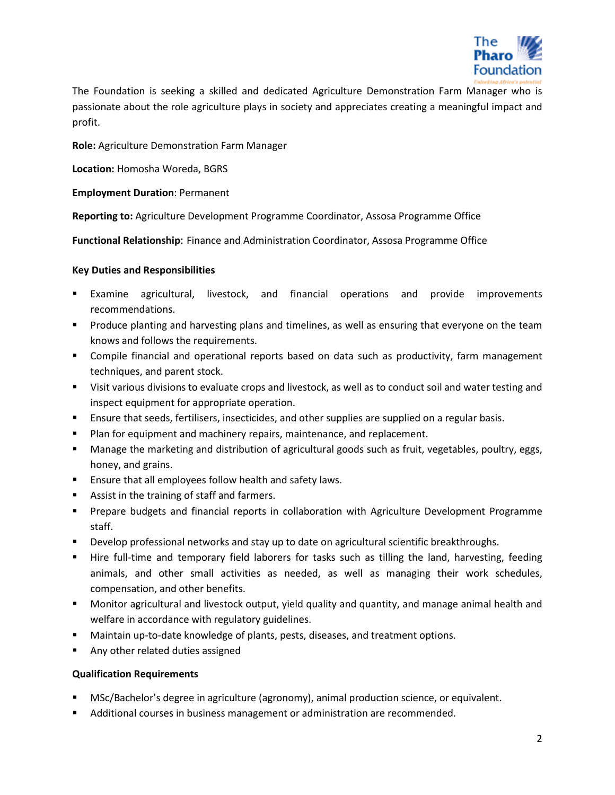

The Foundation is seeking a skilled and dedicated Agriculture Demonstration Farm Manager who is passionate about the role agriculture plays in society and appreciates creating a meaningful impact and profit.

**Role:** Agriculture Demonstration Farm Manager

**Location:** Homosha Woreda, BGRS

**Employment Duration**: Permanent

**Reporting to:** Agriculture Development Programme Coordinator, Assosa Programme Office

**Functional Relationship**: Finance and Administration Coordinator, Assosa Programme Office

# **Key Duties and Responsibilities**

- Examine agricultural, livestock, and financial operations and provide improvements recommendations.
- **Produce planting and harvesting plans and timelines, as well as ensuring that everyone on the team** knows and follows the requirements.
- Compile financial and operational reports based on data such as productivity, farm management techniques, and parent stock.
- Visit various divisions to evaluate crops and livestock, as well as to conduct soil and water testing and inspect equipment for appropriate operation.
- **Ensure that seeds, fertilisers, insecticides, and other supplies are supplied on a regular basis.**
- **Plan for equipment and machinery repairs, maintenance, and replacement.**
- Manage the marketing and distribution of agricultural goods such as fruit, vegetables, poultry, eggs, honey, and grains.
- **Ensure that all employees follow health and safety laws.**
- **Assist in the training of staff and farmers.**
- **Prepare budgets and financial reports in collaboration with Agriculture Development Programme** staff.
- **Develop professional networks and stay up to date on agricultural scientific breakthroughs.**
- Hire full-time and temporary field laborers for tasks such as tilling the land, harvesting, feeding animals, and other small activities as needed, as well as managing their work schedules, compensation, and other benefits.
- Monitor agricultural and livestock output, yield quality and quantity, and manage animal health and welfare in accordance with regulatory guidelines.
- Maintain up-to-date knowledge of plants, pests, diseases, and treatment options.
- Any other related duties assigned

# **Qualification Requirements**

- MSc/Bachelor's degree in agriculture (agronomy), animal production science, or equivalent.
- Additional courses in business management or administration are recommended.